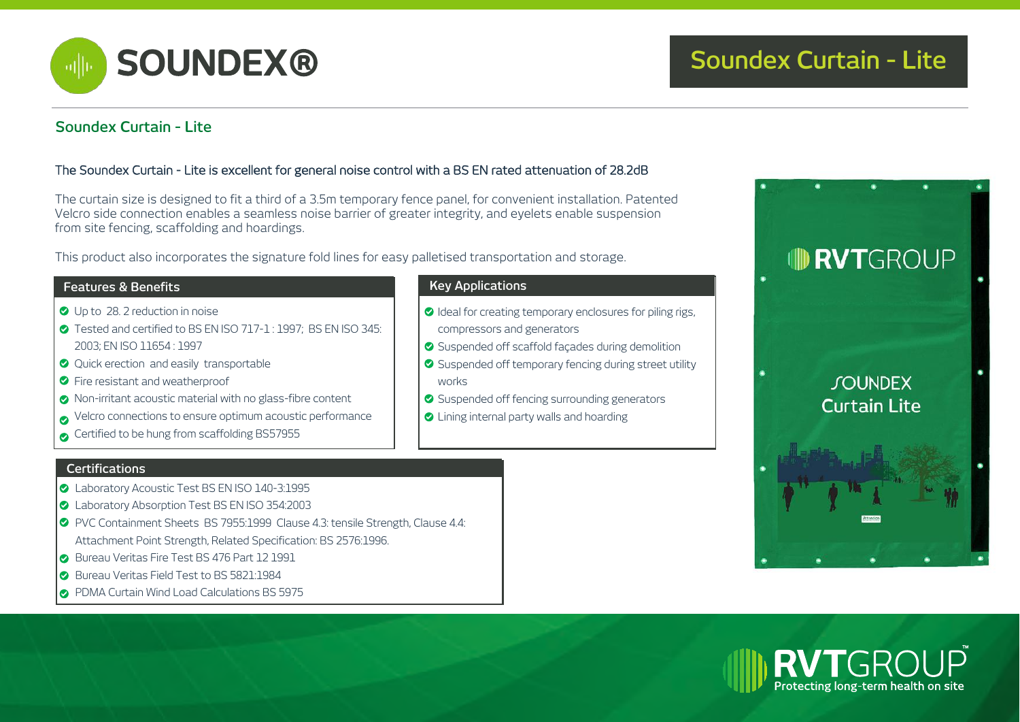

# **Soundex Curtain - Lite**

## The Soundex Curtain - Lite is excellent for general noise control with a BS EN rated attenuation of 28.2dB

The curtain size is designed to fit a third of a 3.5m temporary fence panel, for convenient installation. Patented Velcro side connection enables a seamless noise barrier of greater integrity, and eyelets enable suspension from site fencing, scaffolding and hoardings.

This product also incorporates the signature fold lines for easy palletised transportation and storage.

## **Features & Benefits Key Applications**

- Up to 28. 2 reduction in noise
- Tested and certified to BS EN ISO 717-1 : 1997; BS EN ISO 345: 2003; EN ISO 11654 : 1997
- **Quick erection and easily transportable**
- **C** Fire resistant and weatherproof
- Non-irritant acoustic material with no glass-fibre content
- Velcro connections to ensure optimum acoustic performance
- Certified to be hung from scaffolding BS57955

### **Certifications**

- C Laboratory Acoustic Test BS EN ISO 140-3:1995
- Laboratory Absorption Test BS EN ISO 354:2003
- PVC Containment Sheets BS 7955:1999 Clause 4.3: tensile Strength, Clause 4.4: Attachment Point Strength, Related Specification: BS 2576:1996.
- Bureau Veritas Fire Test BS 476 Part 12 1991
- Bureau Veritas Field Test to BS 5821:1984
- **PDMA Curtain Wind Load Calculations BS 5975**

- O Ideal for creating temporary enclosures for piling rigs, compressors and generators
- Suspended off scaffold facades during demolition
- ◆ Suspended off temporary fencing during street utility works
- Suspended off fencing surrounding generators
- **O** Lining internal party walls and hoarding